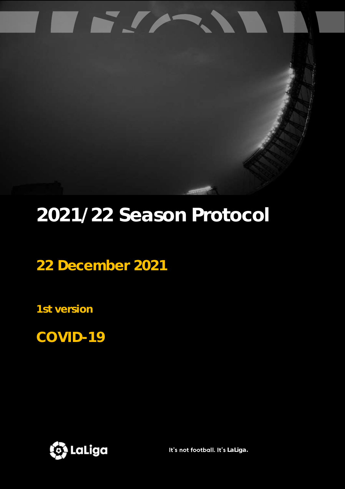

**22 December 2021**

US.W

**1st version**

**COVID-19** 



It's not football. It's LaLiga.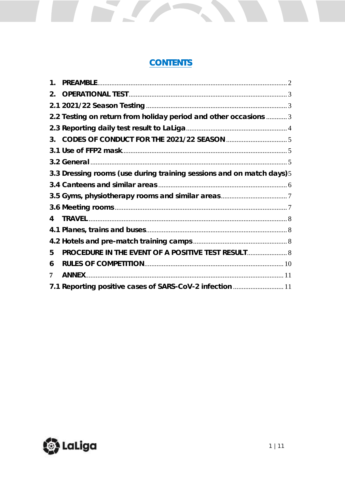# **CONTENTS**

S.

| 1. |                                                                       |  |
|----|-----------------------------------------------------------------------|--|
| 2. |                                                                       |  |
|    |                                                                       |  |
|    | 2.2 Testing on return from holiday period and other occasions  3      |  |
|    |                                                                       |  |
|    |                                                                       |  |
|    |                                                                       |  |
|    |                                                                       |  |
|    | 3.3 Dressing rooms (use during training sessions and on match days) 5 |  |
|    |                                                                       |  |
|    |                                                                       |  |
|    |                                                                       |  |
| 4  |                                                                       |  |
|    |                                                                       |  |
|    |                                                                       |  |
| 5  | PROCEDURE IN THE EVENT OF A POSITIVE TEST RESULT 8                    |  |
| 6  |                                                                       |  |
| 7  |                                                                       |  |
|    | 7.1 Reporting positive cases of SARS-CoV-2 infection  11              |  |

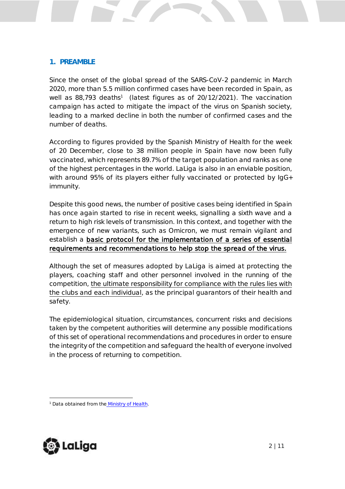#### <span id="page-2-0"></span>**1. PREAMBLE**

Since the onset of the global spread of the SARS-CoV-2 pandemic in March 2020, more than 5.5 million confirmed cases have been recorded in Spain, as well as 88,793 deaths<sup>1</sup> (latest figures as of 20/12/2021). The vaccination campaign has acted to mitigate the impact of the virus on Spanish society, leading to a marked decline in both the number of confirmed cases and the number of deaths.

According to figures provided by the Spanish Ministry of Health for the week of 20 December, close to 38 million people in Spain have now been fully vaccinated, which represents 89.7% of the target population and ranks as one of the highest percentages in the world. LaLiga is also in an enviable position, with around 95% of its players either fully vaccinated or protected by IgG+ immunity.

Despite this good news, the number of positive cases being identified in Spain has once again started to rise in recent weeks, signalling a sixth wave and a return to high risk levels of transmission. In this context, and together with the emergence of new variants, such as Omicron, we must remain vigilant and establish a basic protocol for the implementation of a series of essential requirements and recommendations to help stop the spread of the virus.

Although the set of measures adopted by LaLiga is aimed at protecting the players, coaching staff and other personnel involved in the running of the competition, the ultimate responsibility for compliance with the rules lies with the clubs and each individual, as the principal guarantors of their health and safety.

The epidemiological situation, circumstances, concurrent risks and decisions taken by the competent authorities will determine any possible modifications of this set of operational recommendations and procedures in order to ensure the integrity of the competition and safeguard the health of everyone involved in the process of returning to competition.



<sup>&</sup>lt;sup>1</sup> Data obtained from the Ministry of Health.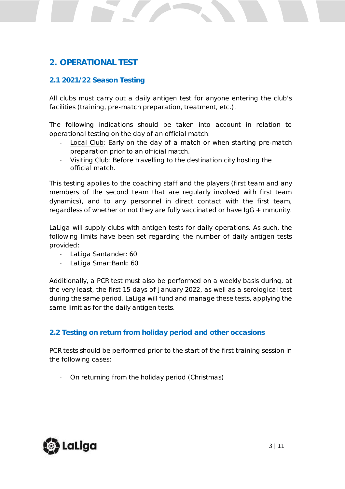## <span id="page-3-0"></span>**2. OPERATIONAL TEST**

### <span id="page-3-1"></span>**2.1 2021/22 Season Testing**

All clubs must carry out a daily antigen test for anyone entering the club's facilities (training, pre-match preparation, treatment, etc.).

The following indications should be taken into account in relation to operational testing on the day of an official match:

- Local Club: Early on the day of a match or when starting pre-match preparation prior to an official match.
- Visiting Club: Before travelling to the destination city hosting the official match.

This testing applies to the coaching staff and the players (first team and any members of the second team that are regularly involved with first team dynamics), and to any personnel in direct contact with the first team, regardless of whether or not they are fully vaccinated or have IgG + immunity.

LaLiga will supply clubs with antigen tests for daily operations. As such, the following limits have been set regarding the number of daily antigen tests provided:

- LaLiga Santander: 60
- LaLiga SmartBank: 60

Additionally, a PCR test must also be performed on a weekly basis during, at the very least, the first 15 days of January 2022, as well as a serological test during the same period. LaLiga will fund and manage these tests, applying the same limit as for the daily antigen tests.

### <span id="page-3-2"></span>**2.2 Testing on return from holiday period and other occasions**

PCR tests should be performed prior to the start of the first training session in the following cases:

On returning from the holiday period (Christmas)

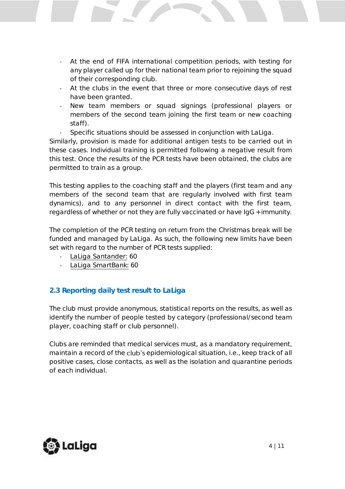- At the end of FIFA international competition periods, with testing for any player called up for their national team prior to rejoining the squad of their corresponding club.
- At the clubs in the event that three or more consecutive days of rest have been granted.
- New team members or squad signings (professional players or members of the second team joining the first team or new coaching staff).
	- Specific situations should be assessed in conjunction with LaLiga.

Similarly, provision is made for additional antigen tests to be carried out in these cases. Individual training is permitted following a negative result from this test. Once the results of the PCR tests have been obtained, the clubs are permitted to train as a group.

This testing applies to the coaching staff and the players (first team and any members of the second team that are regularly involved with first team dynamics), and to any personnel in direct contact with the first team, regardless of whether or not they are fully vaccinated or have IgG + immunity.

The completion of the PCR testing on return from the Christmas break will be funded and managed by LaLiga. As such, the following new limits have been set with regard to the number of PCR tests supplied:

- LaLiga Santander: 60
- LaLiga SmartBank: 60

### <span id="page-4-0"></span>**2.3 Reporting daily test result to LaLiga**

The club must provide anonymous, statistical reports on the results, as well as identify the number of people tested by category (professional/second team player, coaching staff or club personnel).

Clubs are reminded that medical services must, as a mandatory requirement, maintain a record of the club's epidemiological situation, i.e., keep track of all positive cases, close contacts, as well as the isolation and quarantine periods of each individual.

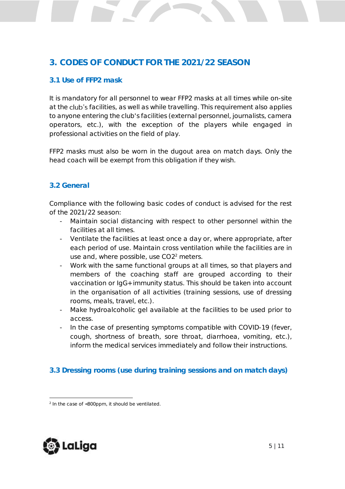## <span id="page-5-0"></span>**3. CODES OF CONDUCT FOR THE 2021/22 SEASON**

#### <span id="page-5-1"></span>**3.1 Use of FFP2 mask**

It is mandatory for all personnel to wear FFP2 masks at all times while on-site at the club's facilities, as well as while travelling. This requirement also applies to anyone entering the club's facilities (external personnel, journalists, camera operators, etc.), with the exception of the players while engaged in professional activities on the field of play.

FFP2 masks must also be worn in the dugout area on match days. Only the head coach will be exempt from this obligation if they wish.

#### <span id="page-5-2"></span>**3.2 General**

Compliance with the following basic codes of conduct is advised for the rest of the 2021/22 season:

- Maintain social distancing with respect to other personnel within the facilities at all times.
- Ventilate the facilities at least once a day or, where appropriate, after each period of use. Maintain cross ventilation while the facilities are in use and, where possible, use CO2<sup>2</sup> meters.
- Work with the same functional groups at all times, so that players and members of the coaching staff are grouped according to their vaccination or IgG+ immunity status. This should be taken into account in the organisation of all activities (training sessions, use of dressing rooms, meals, travel, etc.).
- Make hydroalcoholic gel available at the facilities to be used prior to access.
- In the case of presenting symptoms compatible with COVID-19 (fever, cough, shortness of breath, sore throat, diarrhoea, vomiting, etc.), inform the medical services immediately and follow their instructions.

### <span id="page-5-3"></span>**3.3 Dressing rooms (use during training sessions and on match days)**



<sup>2</sup> In the case of <800ppm, it should be ventilated.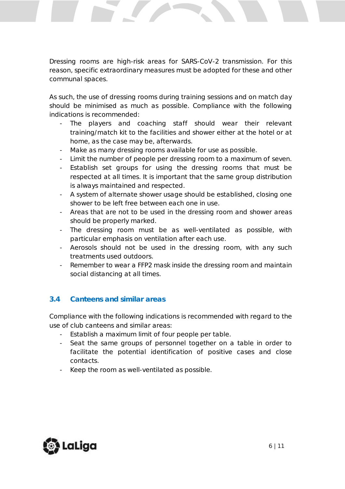Dressing rooms are high-risk areas for SARS-CoV-2 transmission. For this reason, specific extraordinary measures must be adopted for these and other communal spaces.

As such, the use of dressing rooms during training sessions and on match day should be minimised as much as possible. Compliance with the following indications is recommended:

- The players and coaching staff should wear their relevant training/match kit to the facilities and shower either at the hotel or at home, as the case may be, afterwards.
- Make as many dressing rooms available for use as possible.
- Limit the number of people per dressing room to a maximum of seven.
- Establish set groups for using the dressing rooms that must be respected at all times. It is important that the same group distribution is always maintained and respected.
- A system of alternate shower usage should be established, closing one shower to be left free between each one in use.
- Areas that are not to be used in the dressing room and shower areas should be properly marked.
- The dressing room must be as well-ventilated as possible, with particular emphasis on ventilation after each use.
- Aerosols should not be used in the dressing room, with any such treatments used outdoors.
- Remember to wear a FFP2 mask inside the dressing room and maintain social distancing at all times.

### <span id="page-6-0"></span>**3.4 Canteens and similar areas**

Compliance with the following indications is recommended with regard to the use of club canteens and similar areas:

- Establish a maximum limit of four people per table.
- Seat the same groups of personnel together on a table in order to facilitate the potential identification of positive cases and close contacts.
- Keep the room as well-ventilated as possible.

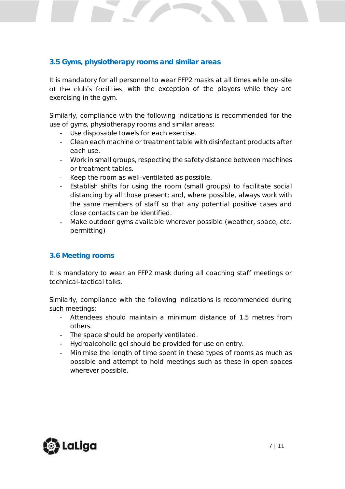#### <span id="page-7-0"></span>**3.5 Gyms, physiotherapy rooms and similar areas**

It is mandatory for all personnel to wear FFP2 masks at all times while on-site at the club's facilities, with the exception of the players while they are exercising in the gym.

Similarly, compliance with the following indications is recommended for the use of gyms, physiotherapy rooms and similar areas:

- Use disposable towels for each exercise.
- Clean each machine or treatment table with disinfectant products after each use.
- Work in small groups, respecting the safety distance between machines or treatment tables.
- Keep the room as well-ventilated as possible.
- Establish shifts for using the room (small groups) to facilitate social distancing by all those present; and, where possible, always work with the same members of staff so that any potential positive cases and close contacts can be identified.
- Make outdoor gyms available wherever possible (weather, space, etc. permitting)

#### <span id="page-7-1"></span>**3.6 Meeting rooms**

It is mandatory to wear an FFP2 mask during all coaching staff meetings or technical-tactical talks.

Similarly, compliance with the following indications is recommended during such meetings:

- Attendees should maintain a minimum distance of 1.5 metres from others.
- The space should be properly ventilated.
- Hydroalcoholic gel should be provided for use on entry.
- Minimise the length of time spent in these types of rooms as much as possible and attempt to hold meetings such as these in open spaces wherever possible.

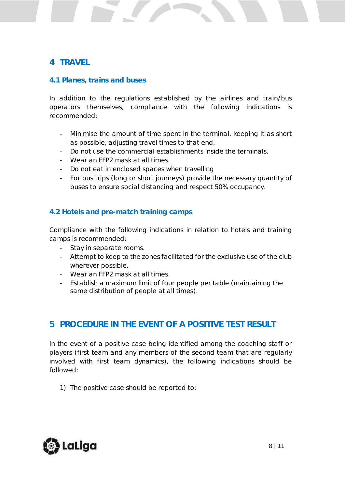## <span id="page-8-0"></span>**4 TRAVEL**

#### <span id="page-8-1"></span>**4.1 Planes, trains and buses**

In addition to the regulations established by the airlines and train/bus operators themselves, compliance with the following indications is recommended:

- Minimise the amount of time spent in the terminal, keeping it as short as possible, adjusting travel times to that end.
- Do not use the commercial establishments inside the terminals.
- Wear an FFP2 mask at all times.
- Do not eat in enclosed spaces when travelling
- For bus trips (long or short journeys) provide the necessary quantity of buses to ensure social distancing and respect 50% occupancy.

#### <span id="page-8-2"></span>**4.2 Hotels and pre-match training camps**

Compliance with the following indications in relation to hotels and training camps is recommended:

- Stay in separate rooms.
- Attempt to keep to the zones facilitated for the exclusive use of the club wherever possible.
- Wear an FFP2 mask at all times.
- Establish a maximum limit of four people per table (maintaining the same distribution of people at all times).

### <span id="page-8-3"></span>**5 PROCEDURE IN THE EVENT OF A POSITIVE TEST RESULT**

In the event of a positive case being identified among the coaching staff or players (first team and any members of the second team that are regularly involved with first team dynamics), the following indications should be followed:

1) The positive case should be reported to:

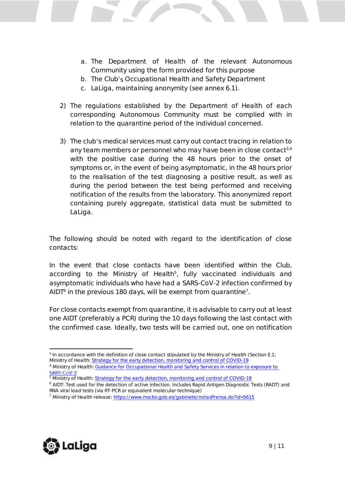- a. The Department of Health of the relevant Autonomous Community using the form provided for this purpose
- b. The Club's Occupational Health and Safety Department
- c. LaLiga, maintaining anonymity (see annex 6.1).
- 2) The regulations established by the Department of Health of each corresponding Autonomous Community must be complied with in relation to the quarantine period of the individual concerned.
- 3) The club's medical services must carry out contact tracing in relation to any team members or personnel who may have been in close contact<sup>3,4</sup> with the positive case during the 48 hours prior to the onset of symptoms or, in the event of being asymptomatic, in the 48 hours prior to the realisation of the test diagnosing a positive result, as well as during the period between the test being performed and receiving notification of the results from the laboratory. This anonymized report containing purely aggregate, statistical data must be submitted to LaLiga.

The following should be noted with regard to the identification of close contacts:

In the event that close contacts have been identified within the Club, according to the Ministry of Health<sup>5</sup>, fully vaccinated individuals and asymptomatic individuals who have had a SARS-CoV-2 infection confirmed by  $A$ IDT $^6$  in the previous 180 days, will be exempt from quarantine<sup>7</sup>.

For close contacts exempt from quarantine, it is advisable to carry out at least one AIDT (preferably a PCR) during the 10 days following the last contact with the confirmed case. Ideally, two tests will be carried out, one on notification



<sup>3</sup> In accordance with the definition of close contact stipulated by the Ministry of Health (Section E.1; Ministry of Health: Strategy for the [early detection, monitoring and control of COVID-19](https://www.mscbs.gob.es/profesionales/saludPublica/ccayes/alertasActual/nCov-China/documentos/COVID19_Estrategia_vigilancia_y_control_e_indicadores.pdf) <sup>4</sup> Ministry of Health: [Guidance for Occupational Health and Safety Services](https://www.mscbs.gob.es/en/profesionales/saludPublica/ccayes/alertasActual/nCov-China/documentos/Proteccion_Trabajadores_SARS-CoV-2.pdf) in relation to exposure to SARS-CoV-2

<sup>&</sup>lt;sup>5</sup> Ministry of Health[: Strategy for the early detection, monitoring and control of COVID-19](https://www.mscbs.gob.es/profesionales/saludPublica/ccayes/alertasActual/nCov-China/documentos/COVID19_Estrategia_vigilancia_y_control_e_indicadores.pdf)

<sup>6</sup> AIDT: Test used for the detection of active infection. Includes Rapid Antigen Diagnostic Tests (RADT) and RNA viral load tests (via RT-PCR or equivalent molecular technique)

<sup>7</sup> Ministry of Health release: <https://www.mscbs.gob.es/gabinete/notasPrensa.do?id=5615>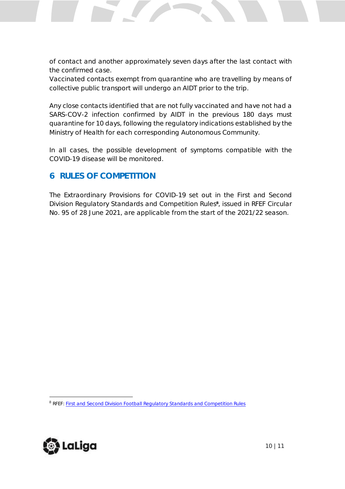of contact and another approximately seven days after the last contact with the confirmed case.

Vaccinated contacts exempt from quarantine who are travelling by means of collective public transport will undergo an AIDT prior to the trip.

Any close contacts identified that are not fully vaccinated and have not had a SARS-COV-2 infection confirmed by AIDT in the previous 180 days must quarantine for 10 days, following the regulatory indications established by the Ministry of Health for each corresponding Autonomous Community.

In all cases, the possible development of symptoms compatible with the COVID-19 disease will be monitored.

## <span id="page-10-0"></span>**6 RULES OF COMPETITION**

The Extraordinary Provisions for COVID-19 set out in the First and Second Division Regulatory Standards and Competition Rules**<sup>8</sup>** , issued in RFEF Circular No. 95 of 28 June 2021, are applicable from the start of the 2021/22 season.



<sup>8</sup> RFEF[: First and Second Division Football Regulatory Standards and Competition Rules](https://www.rfef.es/sites/default/files/images19/001_primera_y_segunda_division.pdf)